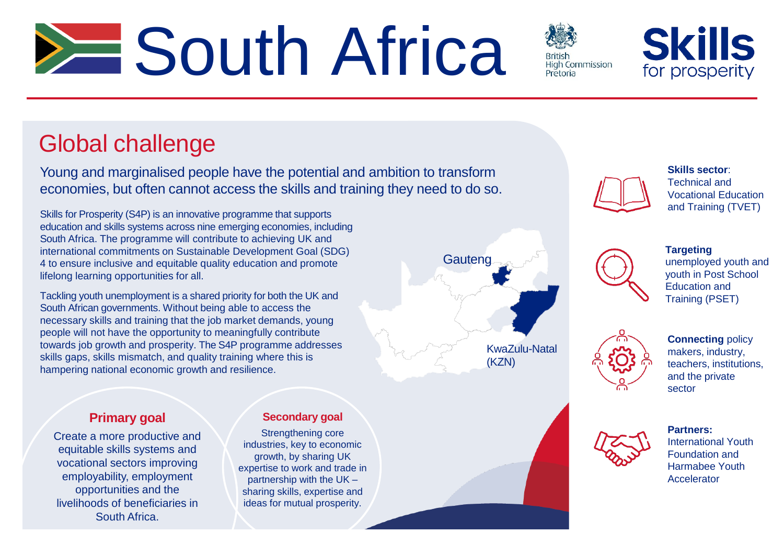# **South Africa**



**Skills** for prosperity

## Global challenge

Young and marginalised people have the potential and ambition to transform economies, but often cannot access the skills and training they need to do so.

Skills for Prosperity (S4P) is an innovative programme that supports education and skills systems across nine emerging economies, including South Africa. The programme will contribute to achieving UK and international commitments on Sustainable Development Goal (SDG) 4 to ensure inclusive and equitable quality education and promote lifelong learning opportunities for all.

Tackling youth unemployment is a shared priority for both the UK and South African governments. Without being able to access the necessary skills and training that the job market demands, young people will not have the opportunity to meaningfully contribute towards job growth and prosperity. The S4P programme addresses skills gaps, skills mismatch, and quality training where this is hampering national economic growth and resilience.



**Skills sector**: Technical and Vocational Education and Training (TVET)



**Targeting** unemployed youth and youth in Post School Education and Training (PSET)



**Connecting** policy makers, industry, teachers, institutions, and the private sector



**Partners:**  International Youth Foundation and Harmabee Youth **Accelerator** 

### **Primary goal**

Create a more productive and equitable skills systems and vocational sectors improving employability, employment opportunities and the livelihoods of beneficiaries in South Africa.

#### **Secondary goal**

Strengthening core industries, key to economic growth, by sharing UK expertise to work and trade in partnership with the UK – sharing skills, expertise and ideas for mutual prosperity.